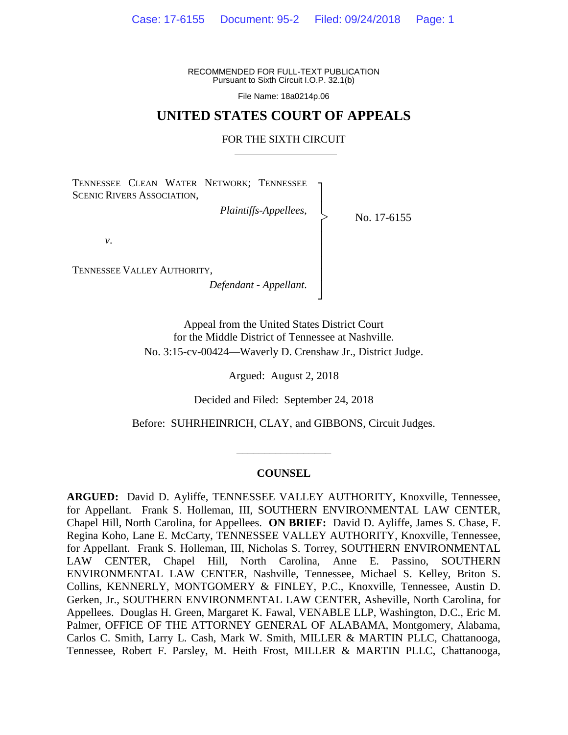RECOMMENDED FOR FULL-TEXT PUBLICATION Pursuant to Sixth Circuit I.O.P. 32.1(b)

File Name: 18a0214p.06

## **UNITED STATES COURT OF APPEALS**

#### FOR THE SIXTH CIRCUIT

┐ │ │ │ │ │ │ │ │ ┘

|<br>|<br>|

TENNESSEE CLEAN WATER NETWORK; TENNESSEE SCENIC RIVERS ASSOCIATION,

*Plaintiffs-Appellees*,

No. 17-6155

*v*.

TENNESSEE VALLEY AUTHORITY,

*Defendant - Appellant*.

Appeal from the United States District Court for the Middle District of Tennessee at Nashville. No. 3:15-cv-00424—Waverly D. Crenshaw Jr., District Judge.

Argued: August 2, 2018

Decided and Filed: September 24, 2018

Before: SUHRHEINRICH, CLAY, and GIBBONS, Circuit Judges.

\_\_\_\_\_\_\_\_\_\_\_\_\_\_\_\_\_

#### **COUNSEL**

**ARGUED:** David D. Ayliffe, TENNESSEE VALLEY AUTHORITY, Knoxville, Tennessee, for Appellant. Frank S. Holleman, III, SOUTHERN ENVIRONMENTAL LAW CENTER, Chapel Hill, North Carolina, for Appellees. **ON BRIEF:** David D. Ayliffe, James S. Chase, F. Regina Koho, Lane E. McCarty, TENNESSEE VALLEY AUTHORITY, Knoxville, Tennessee, for Appellant. Frank S. Holleman, III, Nicholas S. Torrey, SOUTHERN ENVIRONMENTAL LAW CENTER, Chapel Hill, North Carolina, Anne E. Passino, SOUTHERN ENVIRONMENTAL LAW CENTER, Nashville, Tennessee, Michael S. Kelley, Briton S. Collins, KENNERLY, MONTGOMERY & FINLEY, P.C., Knoxville, Tennessee, Austin D. Gerken, Jr., SOUTHERN ENVIRONMENTAL LAW CENTER, Asheville, North Carolina, for Appellees. Douglas H. Green, Margaret K. Fawal, VENABLE LLP, Washington, D.C., Eric M. Palmer, OFFICE OF THE ATTORNEY GENERAL OF ALABAMA, Montgomery, Alabama, Carlos C. Smith, Larry L. Cash, Mark W. Smith, MILLER & MARTIN PLLC, Chattanooga, Tennessee, Robert F. Parsley, M. Heith Frost, MILLER & MARTIN PLLC, Chattanooga,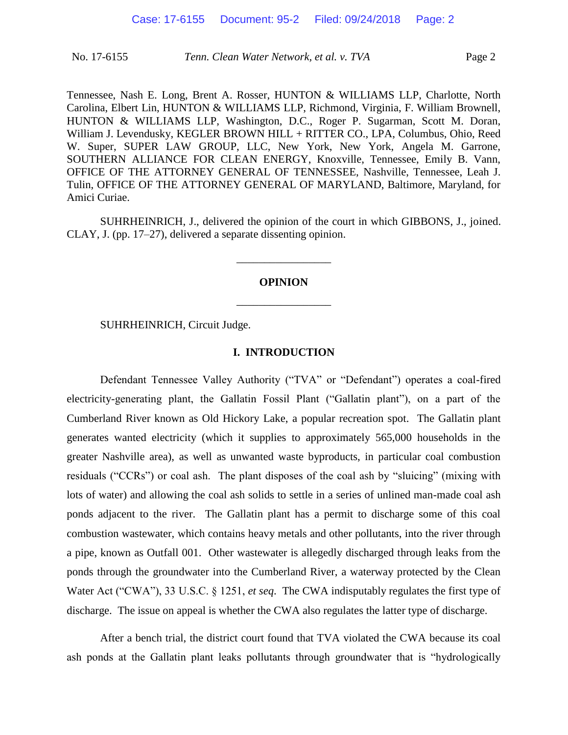Tennessee, Nash E. Long, Brent A. Rosser, HUNTON & WILLIAMS LLP, Charlotte, North Carolina, Elbert Lin, HUNTON & WILLIAMS LLP, Richmond, Virginia, F. William Brownell, HUNTON & WILLIAMS LLP, Washington, D.C., Roger P. Sugarman, Scott M. Doran, William J. Levendusky, KEGLER BROWN HILL + RITTER CO., LPA, Columbus, Ohio, Reed W. Super, SUPER LAW GROUP, LLC, New York, New York, Angela M. Garrone, SOUTHERN ALLIANCE FOR CLEAN ENERGY, Knoxville, Tennessee, Emily B. Vann, OFFICE OF THE ATTORNEY GENERAL OF TENNESSEE, Nashville, Tennessee, Leah J. Tulin, OFFICE OF THE ATTORNEY GENERAL OF MARYLAND, Baltimore, Maryland, for Amici Curiae.

SUHRHEINRICH, J., delivered the opinion of the court in which GIBBONS, J., joined. CLAY, J. (pp. 17–27), delivered a separate dissenting opinion.

# **OPINION** \_\_\_\_\_\_\_\_\_\_\_\_\_\_\_\_\_

\_\_\_\_\_\_\_\_\_\_\_\_\_\_\_\_\_

SUHRHEINRICH, Circuit Judge.

## **I. INTRODUCTION**

Defendant Tennessee Valley Authority ("TVA" or "Defendant") operates a coal-fired electricity-generating plant, the Gallatin Fossil Plant ("Gallatin plant"), on a part of the Cumberland River known as Old Hickory Lake, a popular recreation spot. The Gallatin plant generates wanted electricity (which it supplies to approximately 565,000 households in the greater Nashville area), as well as unwanted waste byproducts, in particular coal combustion residuals ("CCRs") or coal ash. The plant disposes of the coal ash by "sluicing" (mixing with lots of water) and allowing the coal ash solids to settle in a series of unlined man-made coal ash ponds adjacent to the river. The Gallatin plant has a permit to discharge some of this coal combustion wastewater, which contains heavy metals and other pollutants, into the river through a pipe, known as Outfall 001. Other wastewater is allegedly discharged through leaks from the ponds through the groundwater into the Cumberland River, a waterway protected by the Clean Water Act ("CWA"), 33 U.S.C. § 1251, *et seq*. The CWA indisputably regulates the first type of discharge. The issue on appeal is whether the CWA also regulates the latter type of discharge.

After a bench trial, the district court found that TVA violated the CWA because its coal ash ponds at the Gallatin plant leaks pollutants through groundwater that is "hydrologically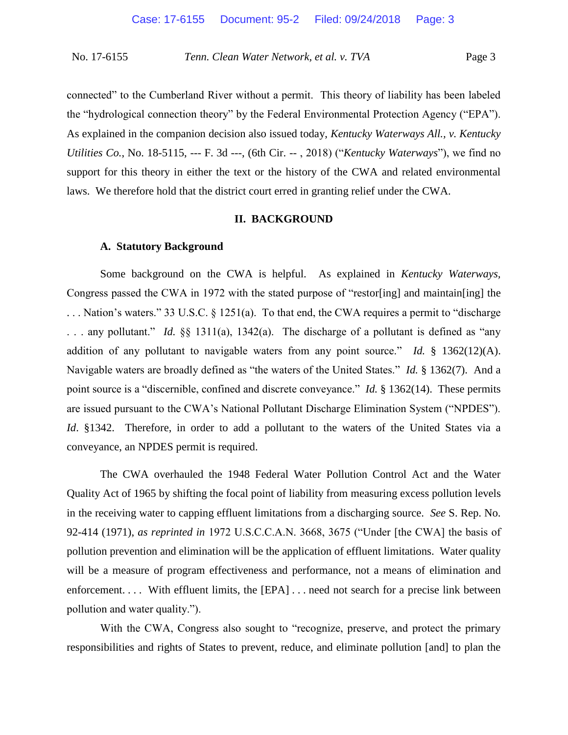connected" to the Cumberland River without a permit. This theory of liability has been labeled the "hydrological connection theory" by the Federal Environmental Protection Agency ("EPA"). As explained in the companion decision also issued today, *Kentucky Waterways All., v. Kentucky Utilities Co.*, No. 18-5115, --- F. 3d ---, (6th Cir. -- , 2018) ("*Kentucky Waterways*"), we find no support for this theory in either the text or the history of the CWA and related environmental laws. We therefore hold that the district court erred in granting relief under the CWA.

#### **II. BACKGROUND**

#### **A. Statutory Background**

Some background on the CWA is helpful. As explained in *Kentucky Waterways,*  Congress passed the CWA in 1972 with the stated purpose of "restor[ing] and maintain[ing] the . . . Nation's waters." 33 U.S.C. § 1251(a). To that end, the CWA requires a permit to "discharge . . . any pollutant." *Id.* §§ 1311(a), 1342(a). The discharge of a pollutant is defined as "any addition of any pollutant to navigable waters from any point source." *Id.* § 1362(12)(A). Navigable waters are broadly defined as "the waters of the United States." *Id.* § 1362(7). And a point source is a "discernible, confined and discrete conveyance." *Id.* § 1362(14). These permits are issued pursuant to the CWA's National Pollutant Discharge Elimination System ("NPDES"). *Id*. §1342. Therefore, in order to add a pollutant to the waters of the United States via a conveyance, an NPDES permit is required.

The CWA overhauled the 1948 Federal Water Pollution Control Act and the Water Quality Act of 1965 by shifting the focal point of liability from measuring excess pollution levels in the receiving water to capping effluent limitations from a discharging source. *See* S. Rep. No. 92-414 (1971), *as reprinted in* 1972 U.S.C.C.A.N. 3668, 3675 ("Under [the CWA] the basis of pollution prevention and elimination will be the application of effluent limitations. Water quality will be a measure of program effectiveness and performance, not a means of elimination and enforcement. . . . With effluent limits, the [EPA] . . . need not search for a precise link between pollution and water quality.").

With the CWA, Congress also sought to "recognize, preserve, and protect the primary responsibilities and rights of States to prevent, reduce, and eliminate pollution [and] to plan the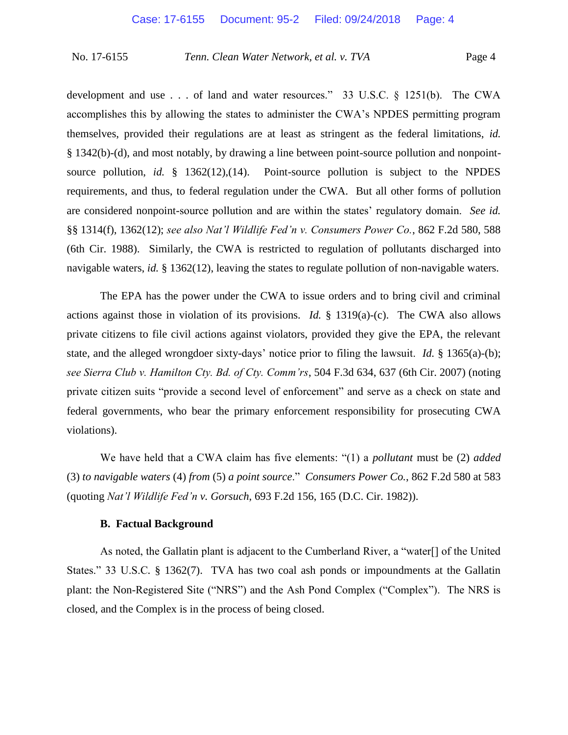development and use . . . of land and water resources." 33 U.S.C. § 1251(b). The CWA accomplishes this by allowing the states to administer the CWA's NPDES permitting program themselves, provided their regulations are at least as stringent as the federal limitations, *id.*  § 1342(b)-(d), and most notably, by drawing a line between point-source pollution and nonpointsource pollution, *id.* § 1362(12),(14). Point-source pollution is subject to the NPDES requirements, and thus, to federal regulation under the CWA. But all other forms of pollution are considered nonpoint-source pollution and are within the states' regulatory domain. *See id.* §§ 1314(f), 1362(12); *see also Nat'l Wildlife Fed'n v. Consumers Power Co.*, 862 F.2d 580, 588 (6th Cir. 1988). Similarly, the CWA is restricted to regulation of pollutants discharged into navigable waters, *id.* § 1362(12), leaving the states to regulate pollution of non-navigable waters.

The EPA has the power under the CWA to issue orders and to bring civil and criminal actions against those in violation of its provisions. *Id.* § 1319(a)-(c). The CWA also allows private citizens to file civil actions against violators, provided they give the EPA, the relevant state, and the alleged wrongdoer sixty-days' notice prior to filing the lawsuit. *Id.* § 1365(a)-(b); *see Sierra Club v. Hamilton Cty. Bd. of Cty. Comm'rs*, 504 F.3d 634, 637 (6th Cir. 2007) (noting private citizen suits "provide a second level of enforcement" and serve as a check on state and federal governments, who bear the primary enforcement responsibility for prosecuting CWA violations).

We have held that a CWA claim has five elements: "(1) a *pollutant* must be (2) *added* (3) *to navigable waters* (4) *from* (5) *a point source*." *Consumers Power Co.*, 862 F.2d 580 at 583 (quoting *Nat'l Wildlife Fed'n v. Gorsuch*, 693 F.2d 156, 165 (D.C. Cir. 1982)).

## **B. Factual Background**

As noted, the Gallatin plant is adjacent to the Cumberland River, a "water[] of the United States." 33 U.S.C*.* § 1362(7). TVA has two coal ash ponds or impoundments at the Gallatin plant: the Non-Registered Site ("NRS") and the Ash Pond Complex ("Complex"). The NRS is closed, and the Complex is in the process of being closed.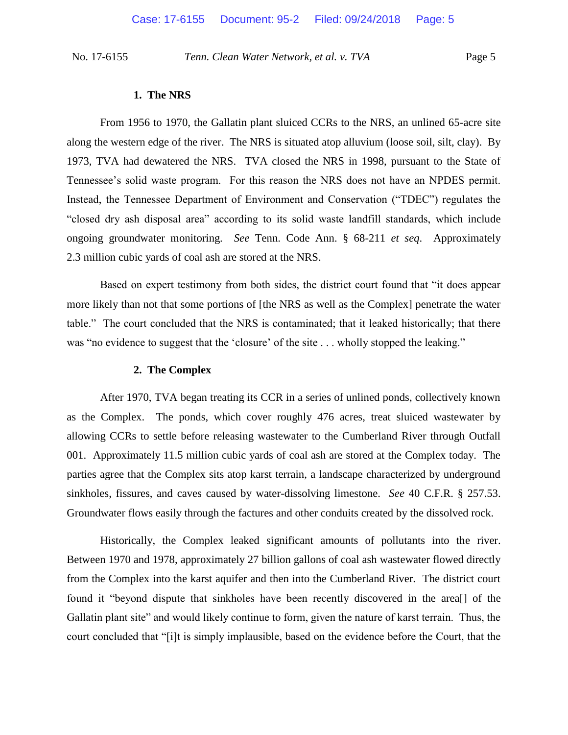#### **1. The NRS**

From 1956 to 1970, the Gallatin plant sluiced CCRs to the NRS, an unlined 65-acre site along the western edge of the river. The NRS is situated atop alluvium (loose soil, silt, clay). By 1973, TVA had dewatered the NRS. TVA closed the NRS in 1998, pursuant to the State of Tennessee's solid waste program. For this reason the NRS does not have an NPDES permit. Instead, the Tennessee Department of Environment and Conservation ("TDEC") regulates the "closed dry ash disposal area" according to its solid waste landfill standards, which include ongoing groundwater monitoring. *See* Tenn. Code Ann. § 68-211 *et seq*. Approximately 2.3 million cubic yards of coal ash are stored at the NRS.

Based on expert testimony from both sides, the district court found that "it does appear more likely than not that some portions of [the NRS as well as the Complex] penetrate the water table." The court concluded that the NRS is contaminated; that it leaked historically; that there was "no evidence to suggest that the 'closure' of the site . . . wholly stopped the leaking."

## **2. The Complex**

After 1970, TVA began treating its CCR in a series of unlined ponds, collectively known as the Complex. The ponds, which cover roughly 476 acres, treat sluiced wastewater by allowing CCRs to settle before releasing wastewater to the Cumberland River through Outfall 001. Approximately 11.5 million cubic yards of coal ash are stored at the Complex today. The parties agree that the Complex sits atop karst terrain, a landscape characterized by underground sinkholes, fissures, and caves caused by water-dissolving limestone. *See* 40 C.F.R. § 257.53. Groundwater flows easily through the factures and other conduits created by the dissolved rock.

Historically, the Complex leaked significant amounts of pollutants into the river. Between 1970 and 1978, approximately 27 billion gallons of coal ash wastewater flowed directly from the Complex into the karst aquifer and then into the Cumberland River. The district court found it "beyond dispute that sinkholes have been recently discovered in the area[] of the Gallatin plant site" and would likely continue to form, given the nature of karst terrain. Thus, the court concluded that "[i]t is simply implausible, based on the evidence before the Court, that the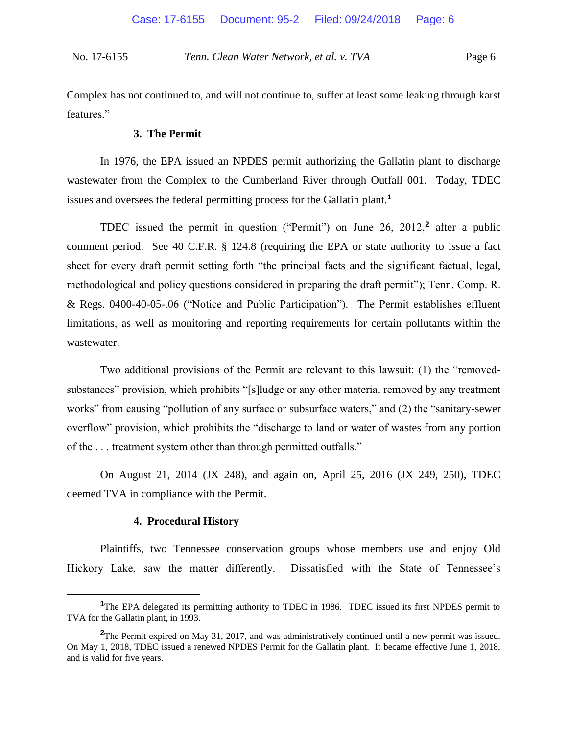Complex has not continued to, and will not continue to, suffer at least some leaking through karst features."

## **3. The Permit**

In 1976, the EPA issued an NPDES permit authorizing the Gallatin plant to discharge wastewater from the Complex to the Cumberland River through Outfall 001. Today, TDEC issues and oversees the federal permitting process for the Gallatin plant.**<sup>1</sup>**

TDEC issued the permit in question ("Permit") on June 26, 2012,**<sup>2</sup>** after a public comment period. See 40 C.F.R. § 124.8 (requiring the EPA or state authority to issue a fact sheet for every draft permit setting forth "the principal facts and the significant factual, legal, methodological and policy questions considered in preparing the draft permit"); Tenn. Comp. R. & Regs. 0400-40-05-.06 ("Notice and Public Participation"). The Permit establishes effluent limitations, as well as monitoring and reporting requirements for certain pollutants within the wastewater.

Two additional provisions of the Permit are relevant to this lawsuit: (1) the "removedsubstances" provision, which prohibits "[s]ludge or any other material removed by any treatment works" from causing "pollution of any surface or subsurface waters," and (2) the "sanitary-sewer overflow" provision, which prohibits the "discharge to land or water of wastes from any portion of the . . . treatment system other than through permitted outfalls."

On August 21, 2014 (JX 248), and again on, April 25, 2016 (JX 249, 250), TDEC deemed TVA in compliance with the Permit.

## **4. Procedural History**

 $\overline{a}$ 

Plaintiffs, two Tennessee conservation groups whose members use and enjoy Old Hickory Lake, saw the matter differently. Dissatisfied with the State of Tennessee's

<sup>&</sup>lt;sup>1</sup>The EPA delegated its permitting authority to TDEC in 1986. TDEC issued its first NPDES permit to TVA for the Gallatin plant, in 1993.

**<sup>2</sup>**The Permit expired on May 31, 2017, and was administratively continued until a new permit was issued. On May 1, 2018, TDEC issued a renewed NPDES Permit for the Gallatin plant. It became effective June 1, 2018, and is valid for five years.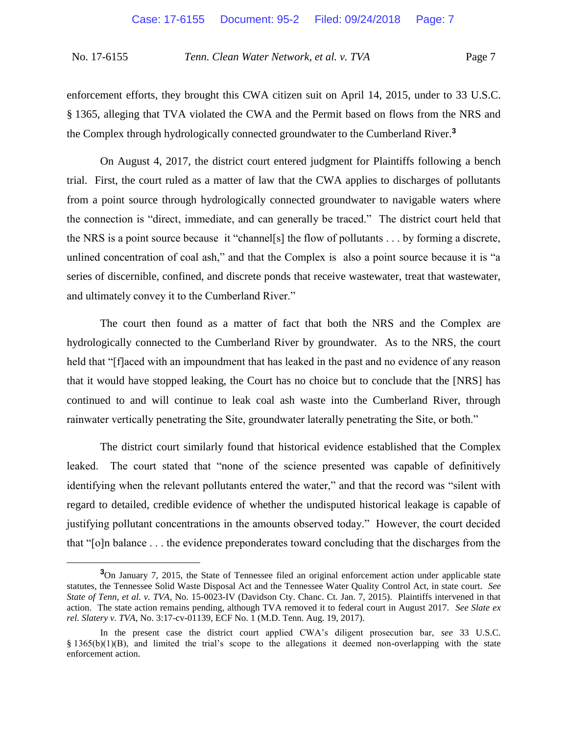enforcement efforts, they brought this CWA citizen suit on April 14, 2015, under to 33 U.S.C. § 1365, alleging that TVA violated the CWA and the Permit based on flows from the NRS and the Complex through hydrologically connected groundwater to the Cumberland River.**<sup>3</sup>**

On August 4, 2017, the district court entered judgment for Plaintiffs following a bench trial. First, the court ruled as a matter of law that the CWA applies to discharges of pollutants from a point source through hydrologically connected groundwater to navigable waters where the connection is "direct, immediate, and can generally be traced." The district court held that the NRS is a point source because it "channel[s] the flow of pollutants . . . by forming a discrete, unlined concentration of coal ash," and that the Complex is also a point source because it is "a series of discernible, confined, and discrete ponds that receive wastewater, treat that wastewater, and ultimately convey it to the Cumberland River."

The court then found as a matter of fact that both the NRS and the Complex are hydrologically connected to the Cumberland River by groundwater. As to the NRS, the court held that "[f]aced with an impoundment that has leaked in the past and no evidence of any reason that it would have stopped leaking, the Court has no choice but to conclude that the [NRS] has continued to and will continue to leak coal ash waste into the Cumberland River, through rainwater vertically penetrating the Site, groundwater laterally penetrating the Site, or both."

The district court similarly found that historical evidence established that the Complex leaked. The court stated that "none of the science presented was capable of definitively identifying when the relevant pollutants entered the water," and that the record was "silent with regard to detailed, credible evidence of whether the undisputed historical leakage is capable of justifying pollutant concentrations in the amounts observed today." However, the court decided that "[o]n balance . . . the evidence preponderates toward concluding that the discharges from the

 $\overline{a}$ 

<sup>&</sup>lt;sup>3</sup>On January 7, 2015, the State of Tennessee filed an original enforcement action under applicable state statutes, the Tennessee Solid Waste Disposal Act and the Tennessee Water Quality Control Act, in state court. *See State of Tenn, et al. v. TVA*, No. 15-0023-IV (Davidson Cty. Chanc. Ct. Jan. 7, 2015). Plaintiffs intervened in that action. The state action remains pending, although TVA removed it to federal court in August 2017. *See Slate ex rel. Slatery v. TVA*, No. 3:17-cv-01139, ECF No. 1 (M.D. Tenn. Aug. 19, 2017).

In the present case the district court applied CWA's diligent prosecution bar, *see* 33 U.S.C. § 1365(b)(1)(B), and limited the trial's scope to the allegations it deemed non-overlapping with the state enforcement action.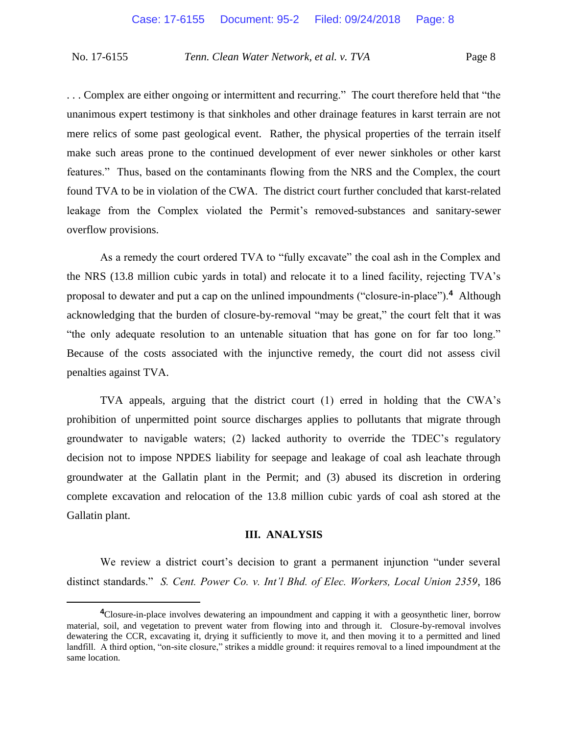. . . Complex are either ongoing or intermittent and recurring." The court therefore held that "the unanimous expert testimony is that sinkholes and other drainage features in karst terrain are not mere relics of some past geological event. Rather, the physical properties of the terrain itself make such areas prone to the continued development of ever newer sinkholes or other karst features." Thus, based on the contaminants flowing from the NRS and the Complex, the court found TVA to be in violation of the CWA. The district court further concluded that karst-related leakage from the Complex violated the Permit's removed-substances and sanitary-sewer overflow provisions.

As a remedy the court ordered TVA to "fully excavate" the coal ash in the Complex and the NRS (13.8 million cubic yards in total) and relocate it to a lined facility, rejecting TVA's proposal to dewater and put a cap on the unlined impoundments ("closure-in-place").**<sup>4</sup>** Although acknowledging that the burden of closure-by-removal "may be great," the court felt that it was "the only adequate resolution to an untenable situation that has gone on for far too long." Because of the costs associated with the injunctive remedy, the court did not assess civil penalties against TVA.

TVA appeals, arguing that the district court (1) erred in holding that the CWA's prohibition of unpermitted point source discharges applies to pollutants that migrate through groundwater to navigable waters; (2) lacked authority to override the TDEC's regulatory decision not to impose NPDES liability for seepage and leakage of coal ash leachate through groundwater at the Gallatin plant in the Permit; and (3) abused its discretion in ordering complete excavation and relocation of the 13.8 million cubic yards of coal ash stored at the Gallatin plant.

#### **III. ANALYSIS**

We review a district court's decision to grant a permanent injunction "under several distinct standards." *S. Cent. Power Co. v. Int'l Bhd. of Elec. Workers, Local Union 2359*, 186

 $\overline{a}$ 

**<sup>4</sup>**Closure-in-place involves dewatering an impoundment and capping it with a geosynthetic liner, borrow material, soil, and vegetation to prevent water from flowing into and through it. Closure-by-removal involves dewatering the CCR, excavating it, drying it sufficiently to move it, and then moving it to a permitted and lined landfill. A third option, "on-site closure," strikes a middle ground: it requires removal to a lined impoundment at the same location.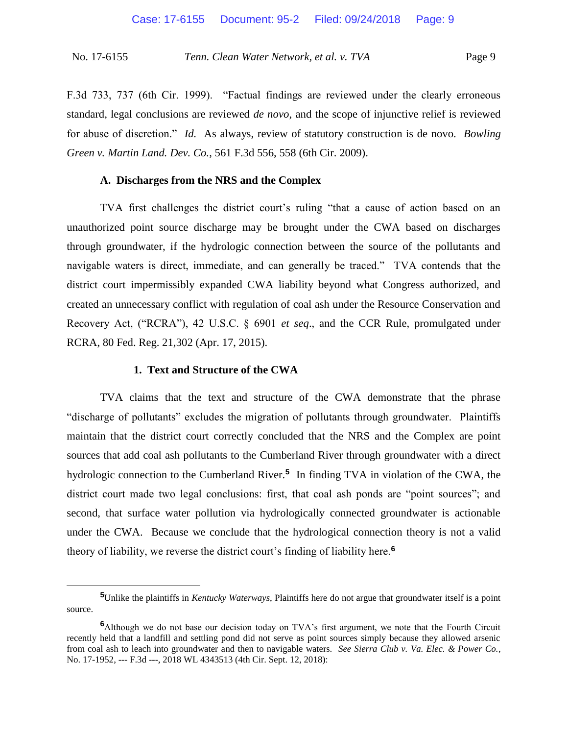F.3d 733, 737 (6th Cir. 1999). "Factual findings are reviewed under the clearly erroneous standard, legal conclusions are reviewed *de novo*, and the scope of injunctive relief is reviewed for abuse of discretion." *Id.* As always, review of statutory construction is de novo. *Bowling Green v. Martin Land. Dev. Co.*, 561 F.3d 556, 558 (6th Cir. 2009).

## **A. Discharges from the NRS and the Complex**

TVA first challenges the district court's ruling "that a cause of action based on an unauthorized point source discharge may be brought under the CWA based on discharges through groundwater, if the hydrologic connection between the source of the pollutants and navigable waters is direct, immediate, and can generally be traced." TVA contends that the district court impermissibly expanded CWA liability beyond what Congress authorized, and created an unnecessary conflict with regulation of coal ash under the Resource Conservation and Recovery Act, ("RCRA"), 42 U.S.C. § 6901 *et seq*., and the CCR Rule, promulgated under RCRA, 80 Fed. Reg. 21,302 (Apr. 17, 2015).

#### **1. Text and Structure of the CWA**

 $\overline{a}$ 

TVA claims that the text and structure of the CWA demonstrate that the phrase "discharge of pollutants" excludes the migration of pollutants through groundwater. Plaintiffs maintain that the district court correctly concluded that the NRS and the Complex are point sources that add coal ash pollutants to the Cumberland River through groundwater with a direct hydrologic connection to the Cumberland River.**<sup>5</sup>** In finding TVA in violation of the CWA, the district court made two legal conclusions: first, that coal ash ponds are "point sources"; and second, that surface water pollution via hydrologically connected groundwater is actionable under the CWA. Because we conclude that the hydrological connection theory is not a valid theory of liability, we reverse the district court's finding of liability here.**<sup>6</sup>**

**<sup>5</sup>**Unlike the plaintiffs in *Kentucky Waterways*, Plaintiffs here do not argue that groundwater itself is a point source.

**<sup>6</sup>**Although we do not base our decision today on TVA's first argument, we note that the Fourth Circuit recently held that a landfill and settling pond did not serve as point sources simply because they allowed arsenic from coal ash to leach into groundwater and then to navigable waters. *See Sierra Club v. Va. Elec. & Power Co.*, No. 17-1952, --- F.3d ---, 2018 WL 4343513 (4th Cir. Sept. 12, 2018):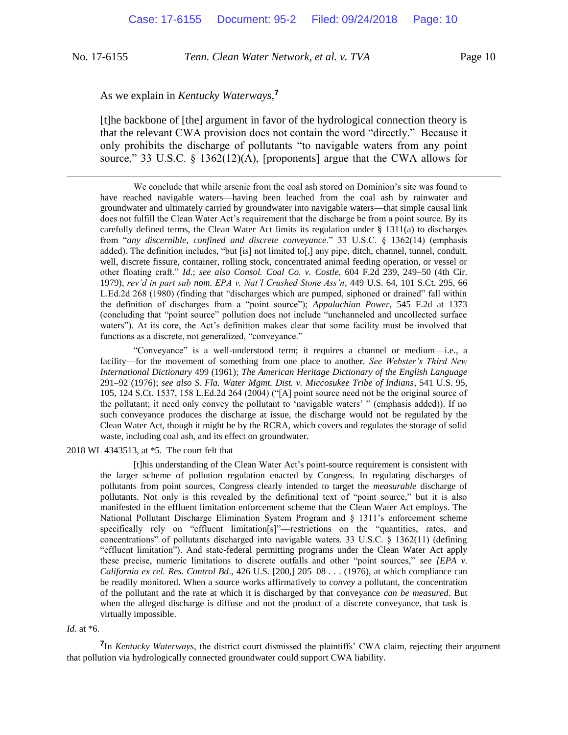$\overline{a}$ 

No. 17-6155 *Tenn. Clean Water Network, et al. v. TVA* Page 10

## As we explain in *Kentucky Waterways*, **7**

[t]he backbone of [the] argument in favor of the hydrological connection theory is that the relevant CWA provision does not contain the word "directly." Because it only prohibits the discharge of pollutants "to navigable waters from any point source," 33 U.S.C. § 1362(12)(A), [proponents] argue that the CWA allows for

We conclude that while arsenic from the coal ash stored on Dominion's site was found to have reached navigable waters—having been leached from the coal ash by rainwater and groundwater and ultimately carried by groundwater into navigable waters—that simple causal link does not fulfill the Clean Water Act's requirement that the discharge be from a point source. By its carefully defined terms, the Clean Water Act limits its regulation under  $\S$  1311(a) to discharges from "*any discernible, confined and discrete conveyance*." 33 U.S.C. § 1362(14) (emphasis added). The definition includes, "but [is] not limited to[,] any pipe, ditch, channel, tunnel, conduit, well, discrete fissure, container, rolling stock, concentrated animal feeding operation, or vessel or other floating craft." *Id*.; *see also Consol. Coal Co. v. Costle*, 604 F.2d 239, 249–50 (4th Cir. 1979), *rev'd in part sub nom*. *EPA v. Nat'l Crushed Stone Ass'n*, 449 U.S. 64, 101 S.Ct. 295, 66 L.Ed.2d 268 (1980) (finding that "discharges which are pumped, siphoned or drained" fall within the definition of discharges from a "point source"); *Appalachian Power*, 545 F.2d at 1373 (concluding that "point source" pollution does not include "unchanneled and uncollected surface waters"). At its core, the Act's definition makes clear that some facility must be involved that functions as a discrete, not generalized, "conveyance."

"Conveyance" is a well-understood term; it requires a channel or medium—i.e., a facility—for the movement of something from one place to another. *See Webster's Third New International Dictionary* 499 (1961); *The American Heritage Dictionary of the English Language* 291–92 (1976); *see also S. Fla. Water Mgmt. Dist. v. Miccosukee Tribe of Indians*, 541 U.S. 95, 105, 124 S.Ct. 1537, 158 L.Ed.2d 264 (2004) ("[A] point source need not be the original source of the pollutant; it need only convey the pollutant to 'navigable waters' " (emphasis added)). If no such conveyance produces the discharge at issue, the discharge would not be regulated by the Clean Water Act, though it might be by the RCRA, which covers and regulates the storage of solid waste, including coal ash, and its effect on groundwater.

2018 WL 4343513, at \*5. The court felt that

[t]his understanding of the Clean Water Act's point-source requirement is consistent with the larger scheme of pollution regulation enacted by Congress. In regulating discharges of pollutants from point sources, Congress clearly intended to target the *measurable* discharge of pollutants. Not only is this revealed by the definitional text of "point source," but it is also manifested in the effluent limitation enforcement scheme that the Clean Water Act employs. The National Pollutant Discharge Elimination System Program and § 1311's enforcement scheme specifically rely on "effluent limitation[s]"—restrictions on the "quantities, rates, and concentrations" of pollutants discharged into navigable waters. 33 U.S.C. § 1362(11) (defining "effluent limitation"). And state-federal permitting programs under the Clean Water Act apply these precise, numeric limitations to discrete outfalls and other "point sources," *see [EPA v. California ex rel. Res. Control Bd*., 426 U.S. [200,] 205–08 . . . (1976), at which compliance can be readily monitored. When a source works affirmatively to *convey* a pollutant, the concentration of the pollutant and the rate at which it is discharged by that conveyance *can be measured*. But when the alleged discharge is diffuse and not the product of a discrete conveyance, that task is virtually impossible.

*Id.* at \*6.

**7** In *Kentucky Waterways*, the district court dismissed the plaintiffs' CWA claim, rejecting their argument that pollution via hydrologically connected groundwater could support CWA liability.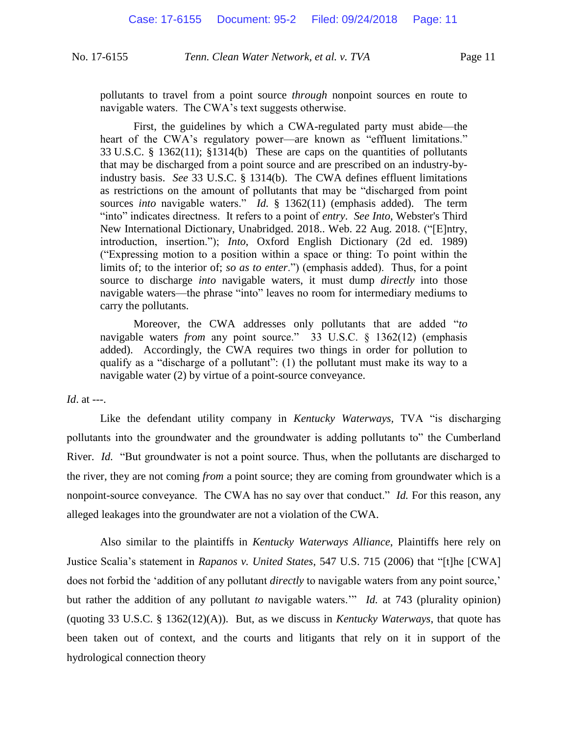pollutants to travel from a point source *through* nonpoint sources en route to navigable waters. The CWA's text suggests otherwise.

First, the guidelines by which a CWA-regulated party must abide—the heart of the CWA's regulatory power—are known as "effluent limitations." 33 U.S.C. § 1362(11); §1314(b) These are caps on the quantities of pollutants that may be discharged from a point source and are prescribed on an industry-byindustry basis. *See* 33 U.S.C. § 1314(b). The CWA defines effluent limitations as restrictions on the amount of pollutants that may be "discharged from point sources *into* navigable waters." *Id.* § 1362(11) (emphasis added). The term "into" indicates directness. It refers to a point of *entry*. *See Into*, Webster's Third New International Dictionary, Unabridged. 2018.. Web. 22 Aug. 2018. ("[E]ntry, introduction, insertion."); *Into*, Oxford English Dictionary (2d ed. 1989) ("Expressing motion to a position within a space or thing: To point within the limits of; to the interior of; *so as to enter*.") (emphasis added). Thus, for a point source to discharge *into* navigable waters, it must dump *directly* into those navigable waters—the phrase "into" leaves no room for intermediary mediums to carry the pollutants.

Moreover, the CWA addresses only pollutants that are added "*to* navigable waters *from* any point source." 33 U.S.C. § 1362(12) (emphasis added). Accordingly, the CWA requires two things in order for pollution to qualify as a "discharge of a pollutant": (1) the pollutant must make its way to a navigable water (2) by virtue of a point-source conveyance.

*Id.* at ---.

Like the defendant utility company in *Kentucky Waterways,* TVA "is discharging pollutants into the groundwater and the groundwater is adding pollutants to" the Cumberland River. *Id.* "But groundwater is not a point source. Thus, when the pollutants are discharged to the river, they are not coming *from* a point source; they are coming from groundwater which is a nonpoint-source conveyance. The CWA has no say over that conduct." *Id.* For this reason, any alleged leakages into the groundwater are not a violation of the CWA.

Also similar to the plaintiffs in *Kentucky Waterways Alliance*, Plaintiffs here rely on Justice Scalia's statement in *Rapanos v. United States*, 547 U.S. 715 (2006) that "[t]he [CWA] does not forbid the 'addition of any pollutant *directly* to navigable waters from any point source,' but rather the addition of any pollutant *to* navigable waters.'" *Id.* at 743 (plurality opinion) (quoting 33 U.S.C. § 1362(12)(A)). But, as we discuss in *Kentucky Waterways*, that quote has been taken out of context, and the courts and litigants that rely on it in support of the hydrological connection theory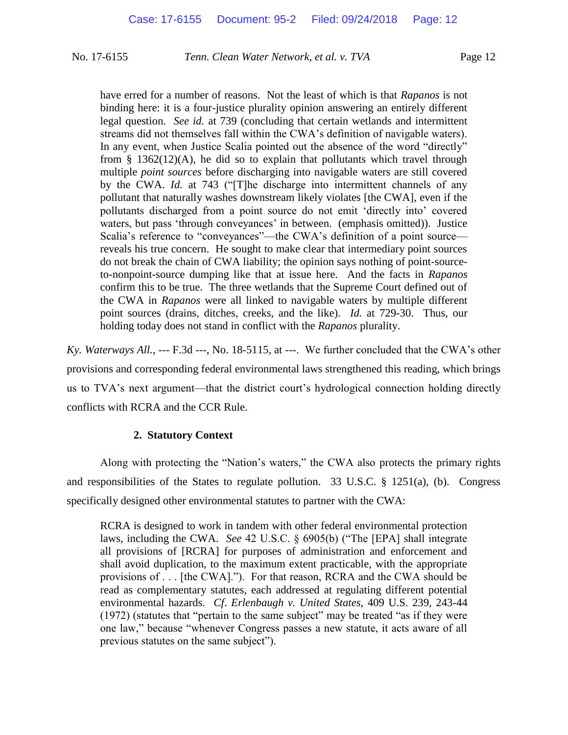have erred for a number of reasons. Not the least of which is that *Rapanos* is not binding here: it is a four-justice plurality opinion answering an entirely different legal question. *See id.* at 739 (concluding that certain wetlands and intermittent streams did not themselves fall within the CWA's definition of navigable waters). In any event, when Justice Scalia pointed out the absence of the word "directly" from  $\S$  1362(12)(A), he did so to explain that pollutants which travel through multiple *point sources* before discharging into navigable waters are still covered by the CWA. *Id.* at 743 ("[T]he discharge into intermittent channels of any pollutant that naturally washes downstream likely violates [the CWA], even if the pollutants discharged from a point source do not emit 'directly into' covered waters, but pass 'through conveyances' in between. (emphasis omitted)). Justice Scalia's reference to "conveyances"—the CWA's definition of a point source reveals his true concern. He sought to make clear that intermediary point sources do not break the chain of CWA liability; the opinion says nothing of point-sourceto-nonpoint-source dumping like that at issue here. And the facts in *Rapanos* confirm this to be true. The three wetlands that the Supreme Court defined out of the CWA in *Rapanos* were all linked to navigable waters by multiple different point sources (drains, ditches, creeks, and the like). *Id.* at 729-30. Thus, our holding today does not stand in conflict with the *Rapanos* plurality.

*Ky. Waterways All.*, --- F.3d ---, No. 18-5115, at ---. We further concluded that the CWA's other provisions and corresponding federal environmental laws strengthened this reading, which brings us to TVA's next argument—that the district court's hydrological connection holding directly conflicts with RCRA and the CCR Rule.

## **2. Statutory Context**

Along with protecting the "Nation's waters," the CWA also protects the primary rights and responsibilities of the States to regulate pollution. 33 U.S.C. § 1251(a), (b). Congress specifically designed other environmental statutes to partner with the CWA:

RCRA is designed to work in tandem with other federal environmental protection laws, including the CWA. *See* 42 U.S.C. § 6905(b) ("The [EPA] shall integrate all provisions of [RCRA] for purposes of administration and enforcement and shall avoid duplication, to the maximum extent practicable, with the appropriate provisions of . . . [the CWA]."). For that reason, RCRA and the CWA should be read as complementary statutes, each addressed at regulating different potential environmental hazards. *Cf*. *Erlenbaugh v. United States*, 409 U.S. 239, 243-44 (1972) (statutes that "pertain to the same subject" may be treated "as if they were one law," because "whenever Congress passes a new statute, it acts aware of all previous statutes on the same subject").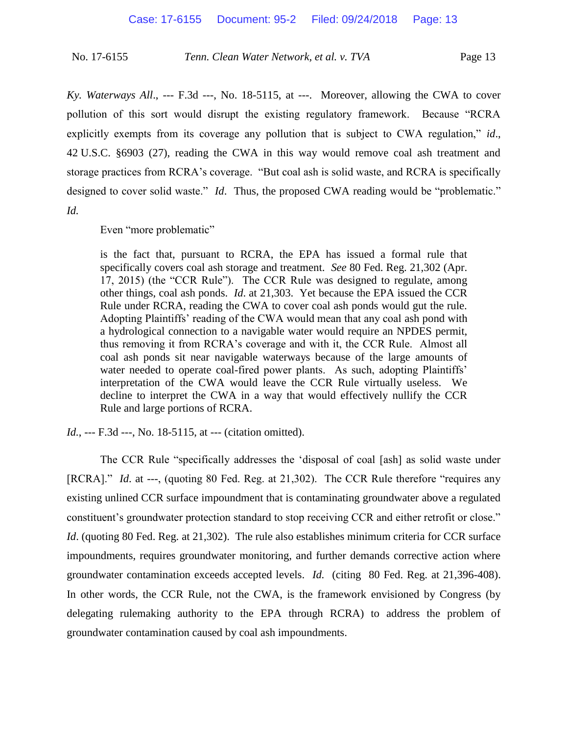*Ky. Waterways All*., --- F.3d ---, No. 18-5115, at ---. Moreover, allowing the CWA to cover pollution of this sort would disrupt the existing regulatory framework. Because "RCRA explicitly exempts from its coverage any pollution that is subject to CWA regulation," *id*., 42 U.S.C. §6903 (27), reading the CWA in this way would remove coal ash treatment and storage practices from RCRA's coverage. "But coal ash is solid waste, and RCRA is specifically designed to cover solid waste." *Id*. Thus, the proposed CWA reading would be "problematic." *Id.*

Even "more problematic"

is the fact that, pursuant to RCRA, the EPA has issued a formal rule that specifically covers coal ash storage and treatment. *See* 80 Fed. Reg. 21,302 (Apr. 17, 2015) (the "CCR Rule"). The CCR Rule was designed to regulate, among other things, coal ash ponds. *Id*. at 21,303. Yet because the EPA issued the CCR Rule under RCRA, reading the CWA to cover coal ash ponds would gut the rule. Adopting Plaintiffs' reading of the CWA would mean that any coal ash pond with a hydrological connection to a navigable water would require an NPDES permit, thus removing it from RCRA's coverage and with it, the CCR Rule. Almost all coal ash ponds sit near navigable waterways because of the large amounts of water needed to operate coal-fired power plants. As such, adopting Plaintiffs' interpretation of the CWA would leave the CCR Rule virtually useless. We decline to interpret the CWA in a way that would effectively nullify the CCR Rule and large portions of RCRA.

*Id.*, --- F.3d ---, No. 18-5115, at --- (citation omitted).

The CCR Rule "specifically addresses the 'disposal of coal [ash] as solid waste under [RCRA]." *Id*. at ---, (quoting 80 Fed. Reg. at 21,302). The CCR Rule therefore "requires any existing unlined CCR surface impoundment that is contaminating groundwater above a regulated constituent's groundwater protection standard to stop receiving CCR and either retrofit or close." *Id.* (quoting 80 Fed. Reg. at 21,302). The rule also establishes minimum criteria for CCR surface impoundments, requires groundwater monitoring, and further demands corrective action where groundwater contamination exceeds accepted levels. *Id.* (citing 80 Fed. Reg. at 21,396-408). In other words, the CCR Rule, not the CWA, is the framework envisioned by Congress (by delegating rulemaking authority to the EPA through RCRA) to address the problem of groundwater contamination caused by coal ash impoundments.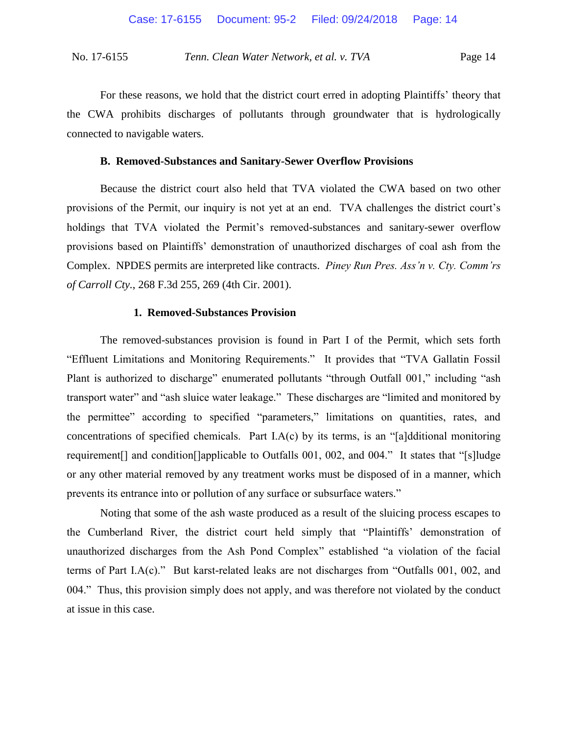For these reasons, we hold that the district court erred in adopting Plaintiffs' theory that the CWA prohibits discharges of pollutants through groundwater that is hydrologically connected to navigable waters.

#### **B. Removed-Substances and Sanitary-Sewer Overflow Provisions**

Because the district court also held that TVA violated the CWA based on two other provisions of the Permit, our inquiry is not yet at an end. TVA challenges the district court's holdings that TVA violated the Permit's removed-substances and sanitary-sewer overflow provisions based on Plaintiffs' demonstration of unauthorized discharges of coal ash from the Complex. NPDES permits are interpreted like contracts. *Piney Run Pres. Ass'n v. Cty. Comm'rs of Carroll Cty.*, 268 F.3d 255, 269 (4th Cir. 2001).

#### **1. Removed-Substances Provision**

The removed-substances provision is found in Part I of the Permit, which sets forth "Effluent Limitations and Monitoring Requirements." It provides that "TVA Gallatin Fossil Plant is authorized to discharge" enumerated pollutants "through Outfall 001," including "ash transport water" and "ash sluice water leakage." These discharges are "limited and monitored by the permittee" according to specified "parameters," limitations on quantities, rates, and concentrations of specified chemicals. Part I.A(c) by its terms, is an "[a]dditional monitoring requirement[] and condition[]applicable to Outfalls 001, 002, and 004." It states that "[s]ludge or any other material removed by any treatment works must be disposed of in a manner, which prevents its entrance into or pollution of any surface or subsurface waters."

Noting that some of the ash waste produced as a result of the sluicing process escapes to the Cumberland River, the district court held simply that "Plaintiffs' demonstration of unauthorized discharges from the Ash Pond Complex" established "a violation of the facial terms of Part I.A(c)." But karst-related leaks are not discharges from "Outfalls 001, 002, and 004." Thus, this provision simply does not apply, and was therefore not violated by the conduct at issue in this case.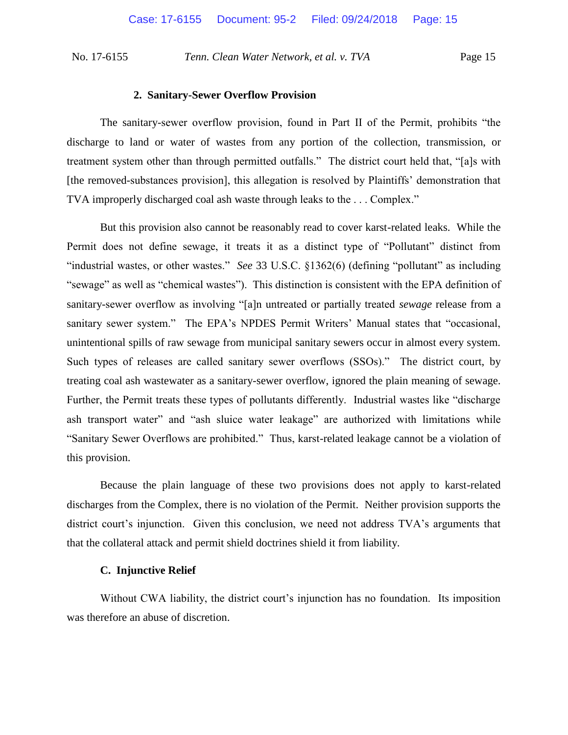#### **2. Sanitary-Sewer Overflow Provision**

The sanitary-sewer overflow provision, found in Part II of the Permit, prohibits "the discharge to land or water of wastes from any portion of the collection, transmission, or treatment system other than through permitted outfalls." The district court held that, "[a]s with [the removed-substances provision], this allegation is resolved by Plaintiffs' demonstration that TVA improperly discharged coal ash waste through leaks to the . . . Complex."

But this provision also cannot be reasonably read to cover karst-related leaks. While the Permit does not define sewage, it treats it as a distinct type of "Pollutant" distinct from "industrial wastes, or other wastes." *See* 33 U.S.C. §1362(6) (defining "pollutant" as including "sewage" as well as "chemical wastes"). This distinction is consistent with the EPA definition of sanitary-sewer overflow as involving "[a]n untreated or partially treated *sewage* release from a sanitary sewer system." The EPA's NPDES Permit Writers' Manual states that "occasional, unintentional spills of raw sewage from municipal sanitary sewers occur in almost every system. Such types of releases are called sanitary sewer overflows (SSOs)." The district court, by treating coal ash wastewater as a sanitary-sewer overflow, ignored the plain meaning of sewage. Further, the Permit treats these types of pollutants differently. Industrial wastes like "discharge ash transport water" and "ash sluice water leakage" are authorized with limitations while "Sanitary Sewer Overflows are prohibited." Thus, karst-related leakage cannot be a violation of this provision.

Because the plain language of these two provisions does not apply to karst-related discharges from the Complex, there is no violation of the Permit. Neither provision supports the district court's injunction. Given this conclusion, we need not address TVA's arguments that that the collateral attack and permit shield doctrines shield it from liability.

#### **C. Injunctive Relief**

Without CWA liability, the district court's injunction has no foundation. Its imposition was therefore an abuse of discretion.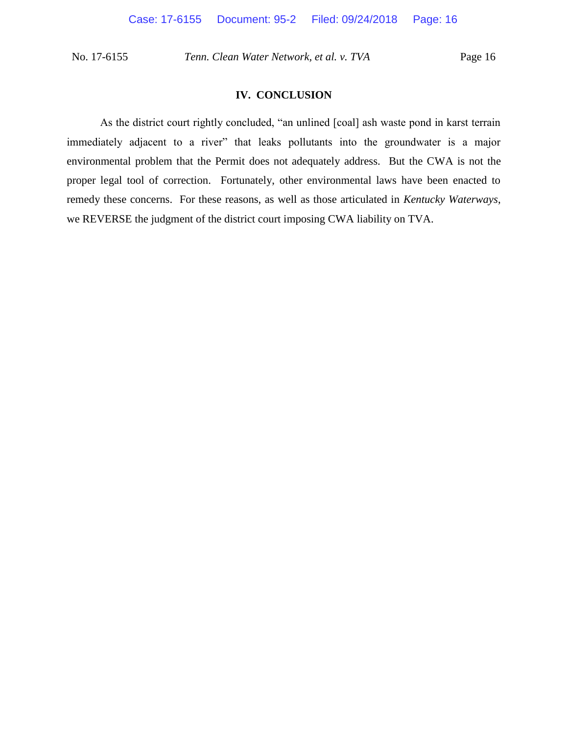## **IV. CONCLUSION**

As the district court rightly concluded, "an unlined [coal] ash waste pond in karst terrain immediately adjacent to a river" that leaks pollutants into the groundwater is a major environmental problem that the Permit does not adequately address. But the CWA is not the proper legal tool of correction. Fortunately, other environmental laws have been enacted to remedy these concerns. For these reasons, as well as those articulated in *Kentucky Waterways*, we REVERSE the judgment of the district court imposing CWA liability on TVA.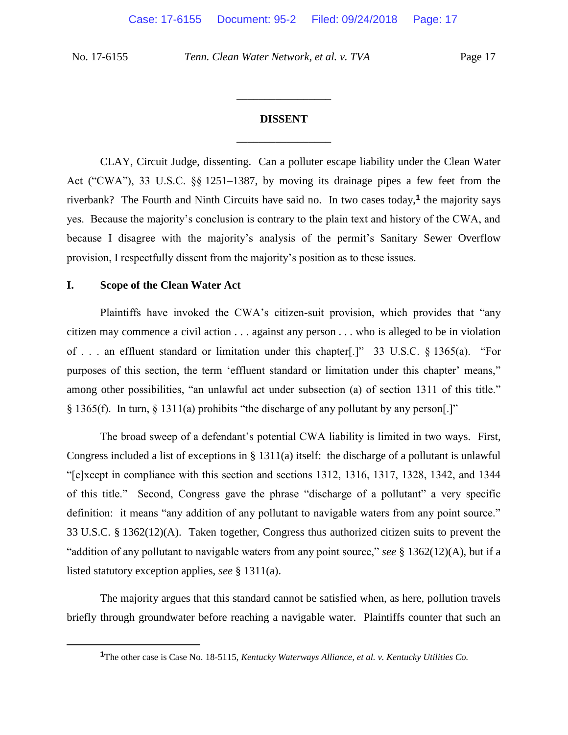$\overline{a}$ 

No. 17-6155 *Tenn. Clean Water Network, et al. v. TVA* Page 17

# **DISSENT** \_\_\_\_\_\_\_\_\_\_\_\_\_\_\_\_\_

\_\_\_\_\_\_\_\_\_\_\_\_\_\_\_\_\_

CLAY, Circuit Judge, dissenting.Can a polluter escape liability under the Clean Water Act ("CWA"), 33 U.S.C. §§ 1251–1387, by moving its drainage pipes a few feet from the riverbank? The Fourth and Ninth Circuits have said no. In two cases today,**<sup>1</sup>** the majority says yes. Because the majority's conclusion is contrary to the plain text and history of the CWA, and because I disagree with the majority's analysis of the permit's Sanitary Sewer Overflow provision, I respectfully dissent from the majority's position as to these issues.

## **I. Scope of the Clean Water Act**

Plaintiffs have invoked the CWA's citizen-suit provision, which provides that "any citizen may commence a civil action . . . against any person . . . who is alleged to be in violation of . . . an effluent standard or limitation under this chapter[.]" 33 U.S.C. § 1365(a). "For purposes of this section, the term 'effluent standard or limitation under this chapter' means," among other possibilities, "an unlawful act under subsection (a) of section 1311 of this title." § 1365(f). In turn, § 1311(a) prohibits "the discharge of any pollutant by any person[.]"

The broad sweep of a defendant's potential CWA liability is limited in two ways. First, Congress included a list of exceptions in § 1311(a) itself: the discharge of a pollutant is unlawful "[e]xcept in compliance with this section and sections 1312, 1316, 1317, 1328, 1342, and 1344 of this title." Second, Congress gave the phrase "discharge of a pollutant" a very specific definition: it means "any addition of any pollutant to navigable waters from any point source." 33 U.S.C. § 1362(12)(A). Taken together, Congress thus authorized citizen suits to prevent the "addition of any pollutant to navigable waters from any point source," *see* § 1362(12)(A), but if a listed statutory exception applies, *see* § 1311(a).

The majority argues that this standard cannot be satisfied when, as here, pollution travels briefly through groundwater before reaching a navigable water. Plaintiffs counter that such an

**<sup>1</sup>**The other case is Case No. 18-5115, *Kentucky Waterways Alliance, et al. v. Kentucky Utilities Co.*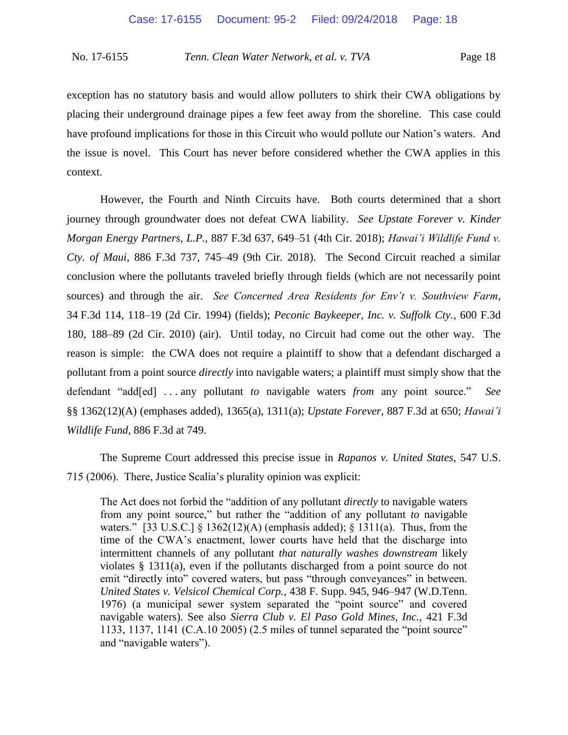exception has no statutory basis and would allow polluters to shirk their CWA obligations by placing their underground drainage pipes a few feet away from the shoreline. This case could have profound implications for those in this Circuit who would pollute our Nation's waters. And the issue is novel. This Court has never before considered whether the CWA applies in this context.

However, the Fourth and Ninth Circuits have. Both courts determined that a short journey through groundwater does not defeat CWA liability. *See Upstate Forever v. Kinder Morgan Energy Partners, L.P.*, 887 F.3d 637, 649–51 (4th Cir. 2018); *Hawai'i Wildlife Fund v. Cty. of Maui*, 886 F.3d 737, 745–49 (9th Cir. 2018). The Second Circuit reached a similar conclusion where the pollutants traveled briefly through fields (which are not necessarily point sources) and through the air. *See Concerned Area Residents for Env't v. Southview Farm*, 34 F.3d 114, 118–19 (2d Cir. 1994) (fields); *Peconic Baykeeper, Inc. v. Suffolk Cty.*, 600 F.3d 180, 188–89 (2d Cir. 2010) (air). Until today, no Circuit had come out the other way. The reason is simple: the CWA does not require a plaintiff to show that a defendant discharged a pollutant from a point source *directly* into navigable waters; a plaintiff must simply show that the defendant "add[ed] . . . any pollutant *to* navigable waters *from* any point source." *See* §§ 1362(12)(A) (emphases added), 1365(a), 1311(a); *Upstate Forever*, 887 F.3d at 650; *Hawai'i Wildlife Fund*, 886 F.3d at 749.

The Supreme Court addressed this precise issue in *Rapanos v. United States*, 547 U.S. 715 (2006). There, Justice Scalia's plurality opinion was explicit:

The Act does not forbid the "addition of any pollutant *directly* to navigable waters from any point source," but rather the "addition of any pollutant *to* navigable waters." [33 U.S.C.]  $\{ 1362(12)(A)$  (emphasis added);  $\{ 1311(a)$ . Thus, from the time of the CWA's enactment, lower courts have held that the discharge into intermittent channels of any pollutant *that naturally washes downstream* likely violates § 1311(a), even if the pollutants discharged from a point source do not emit "directly into" covered waters, but pass "through conveyances" in between. *United States v. Velsicol Chemical Corp.*, 438 F. Supp. 945, 946–947 (W.D.Tenn. 1976) (a municipal sewer system separated the "point source" and covered navigable waters). See also *Sierra Club v. El Paso Gold Mines, Inc.*, 421 F.3d 1133, 1137, 1141 (C.A.10 2005) (2.5 miles of tunnel separated the "point source" and "navigable waters").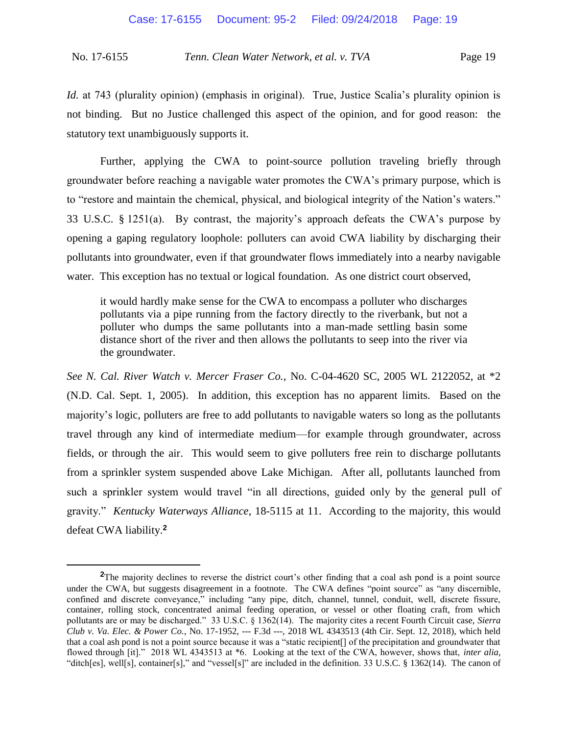*Id.* at 743 (plurality opinion) (emphasis in original). True, Justice Scalia's plurality opinion is not binding. But no Justice challenged this aspect of the opinion, and for good reason: the statutory text unambiguously supports it.

Further, applying the CWA to point-source pollution traveling briefly through groundwater before reaching a navigable water promotes the CWA's primary purpose, which is to "restore and maintain the chemical, physical, and biological integrity of the Nation's waters." 33 U.S.C. § 1251(a). By contrast, the majority's approach defeats the CWA's purpose by opening a gaping regulatory loophole: polluters can avoid CWA liability by discharging their pollutants into groundwater, even if that groundwater flows immediately into a nearby navigable water. This exception has no textual or logical foundation. As one district court observed,

it would hardly make sense for the CWA to encompass a polluter who discharges pollutants via a pipe running from the factory directly to the riverbank, but not a polluter who dumps the same pollutants into a man-made settling basin some distance short of the river and then allows the pollutants to seep into the river via the groundwater.

*See N. Cal. River Watch v. Mercer Fraser Co.*, No. C-04-4620 SC, 2005 WL 2122052, at \*2 (N.D. Cal. Sept. 1, 2005). In addition, this exception has no apparent limits. Based on the majority's logic, polluters are free to add pollutants to navigable waters so long as the pollutants travel through any kind of intermediate medium—for example through groundwater, across fields, or through the air. This would seem to give polluters free rein to discharge pollutants from a sprinkler system suspended above Lake Michigan. After all, pollutants launched from such a sprinkler system would travel "in all directions, guided only by the general pull of gravity." *Kentucky Waterways Alliance*, 18-5115 at 11. According to the majority, this would defeat CWA liability.**<sup>2</sup>**

 $\overline{a}$ 

<sup>&</sup>lt;sup>2</sup>The majority declines to reverse the district court's other finding that a coal ash pond is a point source under the CWA, but suggests disagreement in a footnote. The CWA defines "point source" as "any discernible, confined and discrete conveyance," including "any pipe, ditch, channel, tunnel, conduit, well, discrete fissure, container, rolling stock, concentrated animal feeding operation, or vessel or other floating craft, from which pollutants are or may be discharged." 33 U.S.C. § 1362(14). The majority cites a recent Fourth Circuit case, *Sierra Club v. Va. Elec. & Power Co.*, No. 17-1952, --- F.3d ---, 2018 WL 4343513 (4th Cir. Sept. 12, 2018), which held that a coal ash pond is not a point source because it was a "static recipient[] of the precipitation and groundwater that flowed through [it]." 2018 WL 4343513 at \*6. Looking at the text of the CWA, however, shows that, *inter alia*, "ditch[es], well[s], container[s]," and "vessel[s]" are included in the definition. 33 U.S.C. § 1362(14). The canon of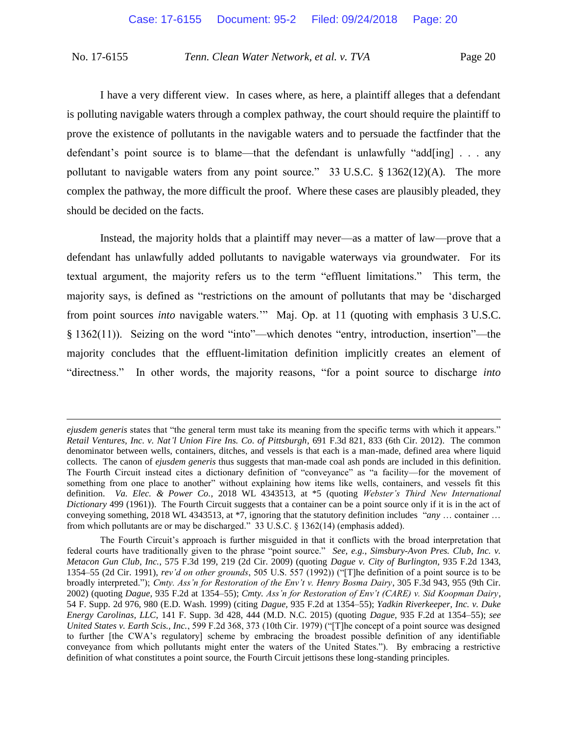I have a very different view. In cases where, as here, a plaintiff alleges that a defendant is polluting navigable waters through a complex pathway, the court should require the plaintiff to prove the existence of pollutants in the navigable waters and to persuade the factfinder that the defendant's point source is to blame—that the defendant is unlawfully "add[ing] . . . any pollutant to navigable waters from any point source." 33 U.S.C. § 1362(12)(A). The more complex the pathway, the more difficult the proof. Where these cases are plausibly pleaded, they should be decided on the facts.

Instead, the majority holds that a plaintiff may never—as a matter of law—prove that a defendant has unlawfully added pollutants to navigable waterways via groundwater. For its textual argument, the majority refers us to the term "effluent limitations." This term, the majority says, is defined as "restrictions on the amount of pollutants that may be 'discharged from point sources *into* navigable waters.'" Maj. Op. at 11 (quoting with emphasis 3 U.S.C. § 1362(11)). Seizing on the word "into"—which denotes "entry, introduction, insertion"—the majority concludes that the effluent-limitation definition implicitly creates an element of "directness." In other words, the majority reasons, "for a point source to discharge *into* 

 $\overline{a}$ 

*ejusdem generis* states that "the general term must take its meaning from the specific terms with which it appears." *Retail Ventures, Inc. v. Nat'l Union Fire Ins. Co. of Pittsburgh*, 691 F.3d 821, 833 (6th Cir. 2012). The common denominator between wells, containers, ditches, and vessels is that each is a man-made, defined area where liquid collects. The canon of *ejusdem generis* thus suggests that man-made coal ash ponds are included in this definition. The Fourth Circuit instead cites a dictionary definition of "conveyance" as "a facility—for the movement of something from one place to another" without explaining how items like wells, containers, and vessels fit this definition. *Va. Elec. & Power Co.*, 2018 WL 4343513, at \*5 (quoting *Webster's Third New International Dictionary* 499 (1961)). The Fourth Circuit suggests that a container can be a point source only if it is in the act of conveying something, 2018 WL 4343513, at \*7, ignoring that the statutory definition includes "*any* … container … from which pollutants are or may be discharged." 33 U.S.C. § 1362(14) (emphasis added).

The Fourth Circuit's approach is further misguided in that it conflicts with the broad interpretation that federal courts have traditionally given to the phrase "point source." *See, e.g.*, *Simsbury-Avon Pres. Club, Inc. v. Metacon Gun Club, Inc.*, 575 F.3d 199, 219 (2d Cir. 2009) (quoting *Dague v. City of Burlington,* 935 F.2d 1343, 1354–55 (2d Cir. 1991), *rev'd on other grounds*, 505 U.S. 557 (1992)) ("[T]he definition of a point source is to be broadly interpreted."); *Cmty. Ass'n for Restoration of the Env't v. Henry Bosma Dairy*, 305 F.3d 943, 955 (9th Cir. 2002) (quoting *Dague,* 935 F.2d at 1354–55); *Cmty. Ass'n for Restoration of Env't (CARE) v. Sid Koopman Dairy*, 54 F. Supp. 2d 976, 980 (E.D. Wash. 1999) (citing *Dague,* 935 F.2d at 1354–55); *Yadkin Riverkeeper, Inc. v. Duke Energy Carolinas, LLC*, 141 F. Supp. 3d 428, 444 (M.D. N.C. 2015) (quoting *Dague,* 935 F.2d at 1354–55); *see United States v. Earth Scis., Inc.*, 599 F.2d 368, 373 (10th Cir. 1979) ("[T]he concept of a point source was designed to further [the CWA's regulatory] scheme by embracing the broadest possible definition of any identifiable conveyance from which pollutants might enter the waters of the United States."). By embracing a restrictive definition of what constitutes a point source, the Fourth Circuit jettisons these long-standing principles.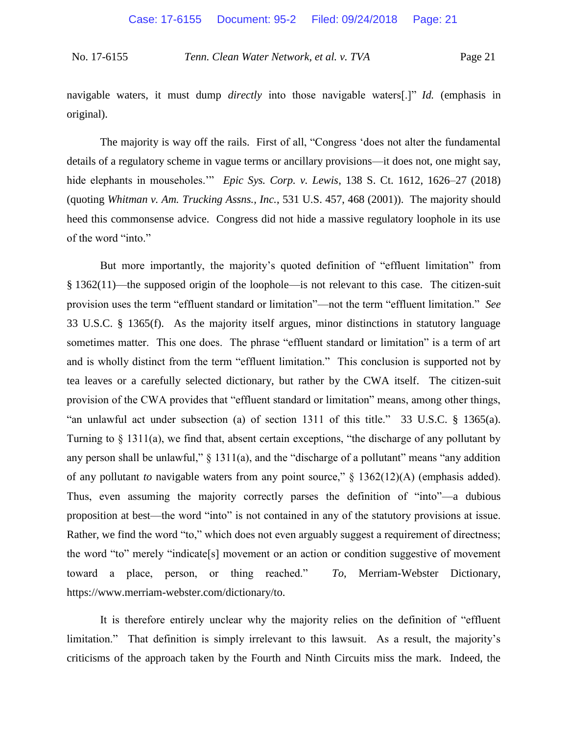navigable waters, it must dump *directly* into those navigable waters[.]" *Id.* (emphasis in original).

The majority is way off the rails. First of all, "Congress 'does not alter the fundamental details of a regulatory scheme in vague terms or ancillary provisions—it does not, one might say, hide elephants in mouseholes." *Epic Sys. Corp. v. Lewis*, 138 S. Ct. 1612, 1626–27 (2018) (quoting *Whitman v. Am. Trucking Assns., Inc.*, 531 U.S. 457, 468 (2001)). The majority should heed this commonsense advice. Congress did not hide a massive regulatory loophole in its use of the word "into."

But more importantly, the majority's quoted definition of "effluent limitation" from § 1362(11)—the supposed origin of the loophole—is not relevant to this case. The citizen-suit provision uses the term "effluent standard or limitation"—not the term "effluent limitation." *See* 33 U.S.C. § 1365(f). As the majority itself argues, minor distinctions in statutory language sometimes matter. This one does. The phrase "effluent standard or limitation" is a term of art and is wholly distinct from the term "effluent limitation." This conclusion is supported not by tea leaves or a carefully selected dictionary, but rather by the CWA itself. The citizen-suit provision of the CWA provides that "effluent standard or limitation" means, among other things, "an unlawful act under subsection (a) of section 1311 of this title." 33 U.S.C. § 1365(a). Turning to § 1311(a), we find that, absent certain exceptions, "the discharge of any pollutant by any person shall be unlawful,"  $\S$  1311(a), and the "discharge of a pollutant" means "any addition of any pollutant *to* navigable waters from any point source," § 1362(12)(A) (emphasis added). Thus, even assuming the majority correctly parses the definition of "into"—a dubious proposition at best—the word "into" is not contained in any of the statutory provisions at issue. Rather, we find the word "to," which does not even arguably suggest a requirement of directness; the word "to" merely "indicate[s] movement or an action or condition suggestive of movement toward a place, person, or thing reached." *To*, Merriam-Webster Dictionary, https://www.merriam-webster.com/dictionary/to.

It is therefore entirely unclear why the majority relies on the definition of "effluent limitation." That definition is simply irrelevant to this lawsuit. As a result, the majority's criticisms of the approach taken by the Fourth and Ninth Circuits miss the mark. Indeed, the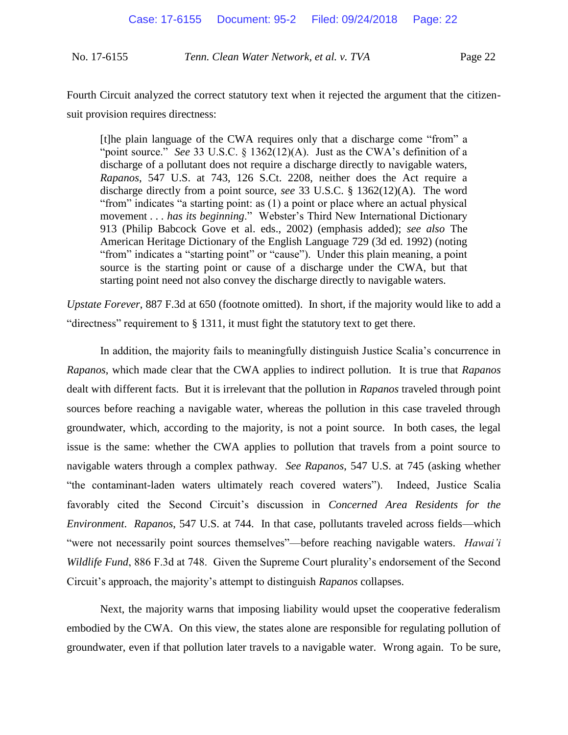Fourth Circuit analyzed the correct statutory text when it rejected the argument that the citizensuit provision requires directness:

[t]he plain language of the CWA requires only that a discharge come "from" a "point source." *See* 33 U.S.C. § 1362(12)(A). Just as the CWA's definition of a discharge of a pollutant does not require a discharge directly to navigable waters, *Rapanos*, 547 U.S. at 743, 126 S.Ct. 2208, neither does the Act require a discharge directly from a point source, *see* 33 U.S.C. § 1362(12)(A). The word "from" indicates "a starting point: as (1) a point or place where an actual physical movement . . . *has its beginning*." Webster's Third New International Dictionary 913 (Philip Babcock Gove et al. eds., 2002) (emphasis added); *see also* The American Heritage Dictionary of the English Language 729 (3d ed. 1992) (noting "from" indicates a "starting point" or "cause"). Under this plain meaning, a point source is the starting point or cause of a discharge under the CWA, but that starting point need not also convey the discharge directly to navigable waters.

*Upstate Forever*, 887 F.3d at 650 (footnote omitted). In short, if the majority would like to add a "directness" requirement to  $\S$  1311, it must fight the statutory text to get there.

In addition, the majority fails to meaningfully distinguish Justice Scalia's concurrence in *Rapanos*, which made clear that the CWA applies to indirect pollution. It is true that *Rapanos*  dealt with different facts. But it is irrelevant that the pollution in *Rapanos* traveled through point sources before reaching a navigable water, whereas the pollution in this case traveled through groundwater, which, according to the majority, is not a point source. In both cases, the legal issue is the same: whether the CWA applies to pollution that travels from a point source to navigable waters through a complex pathway. *See Rapanos*, 547 U.S. at 745 (asking whether "the contaminant-laden waters ultimately reach covered waters"). Indeed, Justice Scalia favorably cited the Second Circuit's discussion in *Concerned Area Residents for the Environment*. *Rapanos*, 547 U.S. at 744. In that case, pollutants traveled across fields—which "were not necessarily point sources themselves"—before reaching navigable waters. *Hawai'i Wildlife Fund*, 886 F.3d at 748. Given the Supreme Court plurality's endorsement of the Second Circuit's approach, the majority's attempt to distinguish *Rapanos* collapses.

Next, the majority warns that imposing liability would upset the cooperative federalism embodied by the CWA. On this view, the states alone are responsible for regulating pollution of groundwater, even if that pollution later travels to a navigable water. Wrong again. To be sure,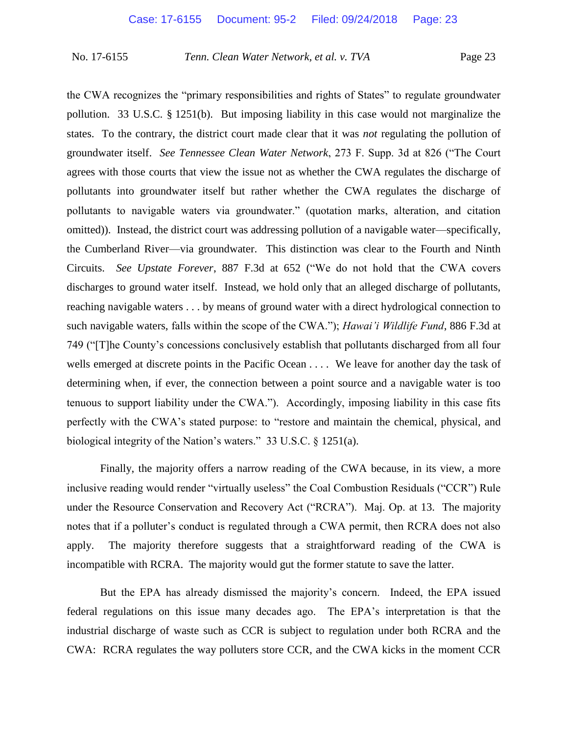the CWA recognizes the "primary responsibilities and rights of States" to regulate groundwater pollution. 33 U.S.C. § 1251(b). But imposing liability in this case would not marginalize the states. To the contrary, the district court made clear that it was *not* regulating the pollution of groundwater itself. *See Tennessee Clean Water Network*, 273 F. Supp. 3d at 826 ("The Court agrees with those courts that view the issue not as whether the CWA regulates the discharge of pollutants into groundwater itself but rather whether the CWA regulates the discharge of pollutants to navigable waters via groundwater." (quotation marks, alteration, and citation omitted)). Instead, the district court was addressing pollution of a navigable water—specifically, the Cumberland River—via groundwater. This distinction was clear to the Fourth and Ninth Circuits. *See Upstate Forever*, 887 F.3d at 652 ("We do not hold that the CWA covers discharges to ground water itself. Instead, we hold only that an alleged discharge of pollutants, reaching navigable waters . . . by means of ground water with a direct hydrological connection to such navigable waters, falls within the scope of the CWA."); *Hawai'i Wildlife Fund*, 886 F.3d at 749 ("[T]he County's concessions conclusively establish that pollutants discharged from all four wells emerged at discrete points in the Pacific Ocean . . . . We leave for another day the task of determining when, if ever, the connection between a point source and a navigable water is too tenuous to support liability under the CWA."). Accordingly, imposing liability in this case fits perfectly with the CWA's stated purpose: to "restore and maintain the chemical, physical, and biological integrity of the Nation's waters." 33 U.S.C. § 1251(a).

Finally, the majority offers a narrow reading of the CWA because, in its view, a more inclusive reading would render "virtually useless" the Coal Combustion Residuals ("CCR") Rule under the Resource Conservation and Recovery Act ("RCRA"). Maj. Op. at 13. The majority notes that if a polluter's conduct is regulated through a CWA permit, then RCRA does not also apply. The majority therefore suggests that a straightforward reading of the CWA is incompatible with RCRA. The majority would gut the former statute to save the latter.

But the EPA has already dismissed the majority's concern. Indeed, the EPA issued federal regulations on this issue many decades ago. The EPA's interpretation is that the industrial discharge of waste such as CCR is subject to regulation under both RCRA and the CWA: RCRA regulates the way polluters store CCR, and the CWA kicks in the moment CCR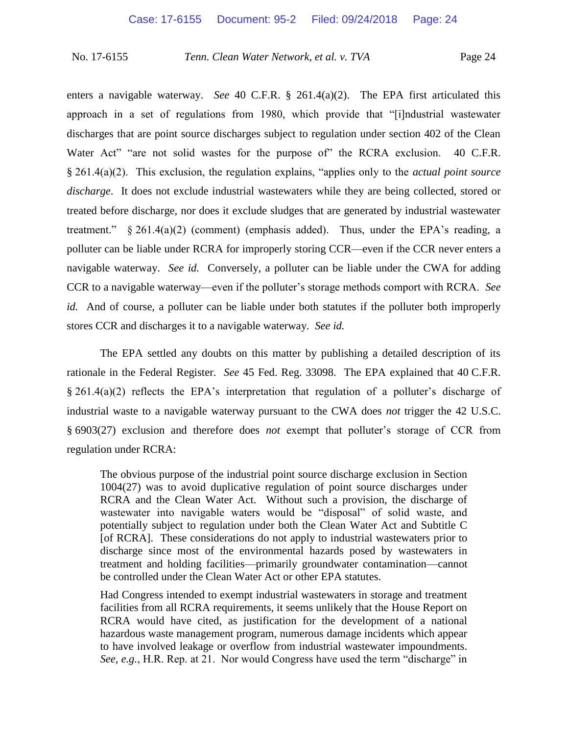enters a navigable waterway. *See* 40 C.F.R. § 261.4(a)(2). The EPA first articulated this approach in a set of regulations from 1980, which provide that "[i]ndustrial wastewater discharges that are point source discharges subject to regulation under section 402 of the Clean Water Act" "are not solid wastes for the purpose of" the RCRA exclusion. 40 C.F.R. § 261.4(a)(2). This exclusion, the regulation explains, "applies only to the *actual point source discharge*. It does not exclude industrial wastewaters while they are being collected, stored or treated before discharge, nor does it exclude sludges that are generated by industrial wastewater treatment." § 261.4(a)(2) (comment) (emphasis added). Thus, under the EPA's reading, a polluter can be liable under RCRA for improperly storing CCR—even if the CCR never enters a navigable waterway. *See id.* Conversely, a polluter can be liable under the CWA for adding CCR to a navigable waterway—even if the polluter's storage methods comport with RCRA. *See id.* And of course, a polluter can be liable under both statutes if the polluter both improperly stores CCR and discharges it to a navigable waterway. *See id.*

The EPA settled any doubts on this matter by publishing a detailed description of its rationale in the Federal Register. *See* 45 Fed. Reg. 33098. The EPA explained that 40 C.F.R. § 261.4(a)(2) reflects the EPA's interpretation that regulation of a polluter's discharge of industrial waste to a navigable waterway pursuant to the CWA does *not* trigger the 42 U.S.C. § 6903(27) exclusion and therefore does *not* exempt that polluter's storage of CCR from regulation under RCRA:

The obvious purpose of the industrial point source discharge exclusion in Section 1004(27) was to avoid duplicative regulation of point source discharges under RCRA and the Clean Water Act. Without such a provision, the discharge of wastewater into navigable waters would be "disposal" of solid waste, and potentially subject to regulation under both the Clean Water Act and Subtitle C [of RCRA]. These considerations do not apply to industrial wastewaters prior to discharge since most of the environmental hazards posed by wastewaters in treatment and holding facilities—primarily groundwater contamination—cannot be controlled under the Clean Water Act or other EPA statutes.

Had Congress intended to exempt industrial wastewaters in storage and treatment facilities from all RCRA requirements, it seems unlikely that the House Report on RCRA would have cited, as justification for the development of a national hazardous waste management program, numerous damage incidents which appear to have involved leakage or overflow from industrial wastewater impoundments. *See, e.g.*, H.R. Rep. at 21. Nor would Congress have used the term "discharge" in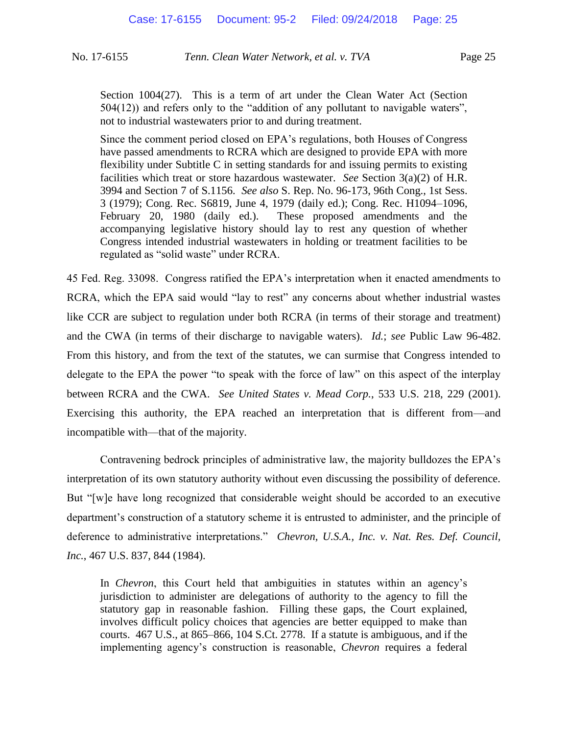Section 1004(27). This is a term of art under the Clean Water Act (Section 504(12)) and refers only to the "addition of any pollutant to navigable waters", not to industrial wastewaters prior to and during treatment.

Since the comment period closed on EPA's regulations, both Houses of Congress have passed amendments to RCRA which are designed to provide EPA with more flexibility under Subtitle C in setting standards for and issuing permits to existing facilities which treat or store hazardous wastewater. *See* Section 3(a)(2) of H.R. 3994 and Section 7 of S.1156. *See also* S. Rep. No. 96-173, 96th Cong., 1st Sess. 3 (1979); Cong. Rec. S6819, June 4, 1979 (daily ed.); Cong. Rec. H1094–1096, February 20, 1980 (daily ed.). These proposed amendments and the accompanying legislative history should lay to rest any question of whether Congress intended industrial wastewaters in holding or treatment facilities to be regulated as "solid waste" under RCRA.

45 Fed. Reg. 33098. Congress ratified the EPA's interpretation when it enacted amendments to RCRA, which the EPA said would "lay to rest" any concerns about whether industrial wastes like CCR are subject to regulation under both RCRA (in terms of their storage and treatment) and the CWA (in terms of their discharge to navigable waters). *Id.*; *see* Public Law 96-482. From this history, and from the text of the statutes, we can surmise that Congress intended to delegate to the EPA the power "to speak with the force of law" on this aspect of the interplay between RCRA and the CWA. *See United States v. Mead Corp.*, 533 U.S. 218, 229 (2001). Exercising this authority, the EPA reached an interpretation that is different from—and incompatible with—that of the majority.

Contravening bedrock principles of administrative law, the majority bulldozes the EPA's interpretation of its own statutory authority without even discussing the possibility of deference. But "[w]e have long recognized that considerable weight should be accorded to an executive department's construction of a statutory scheme it is entrusted to administer, and the principle of deference to administrative interpretations." *Chevron, U.S.A., Inc. v. Nat. Res. Def. Council, Inc.*, 467 U.S. 837, 844 (1984).

In *Chevron*, this Court held that ambiguities in statutes within an agency's jurisdiction to administer are delegations of authority to the agency to fill the statutory gap in reasonable fashion. Filling these gaps, the Court explained, involves difficult policy choices that agencies are better equipped to make than courts. 467 U.S., at 865–866, 104 S.Ct. 2778. If a statute is ambiguous, and if the implementing agency's construction is reasonable, *Chevron* requires a federal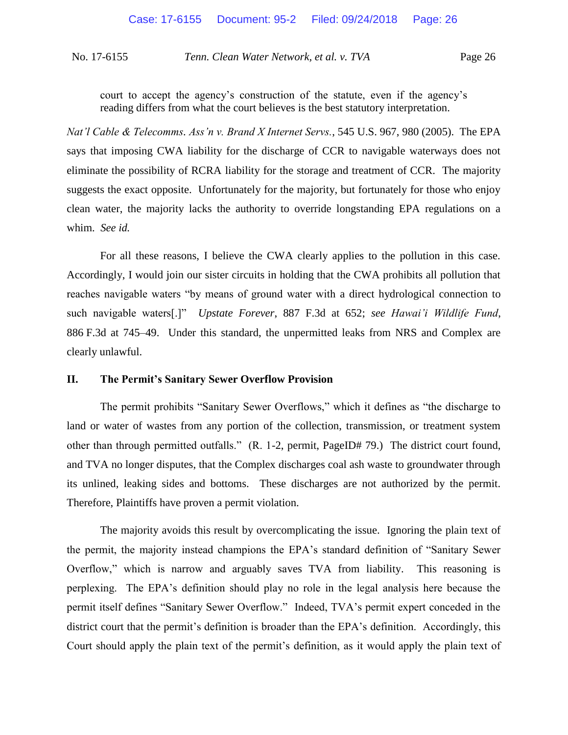court to accept the agency's construction of the statute, even if the agency's reading differs from what the court believes is the best statutory interpretation.

*Nat'l Cable & Telecomms. Ass'n v. Brand X Internet Servs.*, 545 U.S. 967, 980 (2005). The EPA says that imposing CWA liability for the discharge of CCR to navigable waterways does not eliminate the possibility of RCRA liability for the storage and treatment of CCR. The majority suggests the exact opposite. Unfortunately for the majority, but fortunately for those who enjoy clean water, the majority lacks the authority to override longstanding EPA regulations on a whim. *See id.*

For all these reasons, I believe the CWA clearly applies to the pollution in this case. Accordingly, I would join our sister circuits in holding that the CWA prohibits all pollution that reaches navigable waters "by means of ground water with a direct hydrological connection to such navigable waters[.]" *Upstate Forever*, 887 F.3d at 652; *see Hawai'i Wildlife Fund*, 886 F.3d at 745–49. Under this standard, the unpermitted leaks from NRS and Complex are clearly unlawful.

## **II. The Permit's Sanitary Sewer Overflow Provision**

The permit prohibits "Sanitary Sewer Overflows," which it defines as "the discharge to land or water of wastes from any portion of the collection, transmission, or treatment system other than through permitted outfalls." (R. 1-2, permit, PageID# 79.) The district court found, and TVA no longer disputes, that the Complex discharges coal ash waste to groundwater through its unlined, leaking sides and bottoms. These discharges are not authorized by the permit. Therefore, Plaintiffs have proven a permit violation.

The majority avoids this result by overcomplicating the issue. Ignoring the plain text of the permit, the majority instead champions the EPA's standard definition of "Sanitary Sewer Overflow," which is narrow and arguably saves TVA from liability. This reasoning is perplexing. The EPA's definition should play no role in the legal analysis here because the permit itself defines "Sanitary Sewer Overflow." Indeed, TVA's permit expert conceded in the district court that the permit's definition is broader than the EPA's definition. Accordingly, this Court should apply the plain text of the permit's definition, as it would apply the plain text of